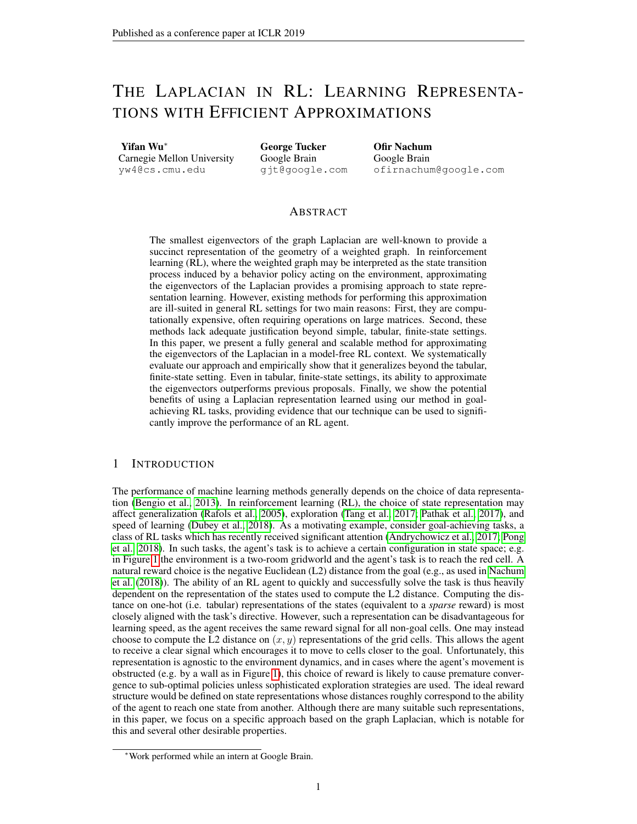# THE LAPLACIAN IN RL: LEARNING REPRESENTA-TIONS WITH EFFICIENT APPROXIMATIONS

Yifan Wu<sup>∗</sup>

Carnegie Mellon University yw4@cs.cmu.edu

George Tucker Google Brain gjt@google.com Ofir Nachum Google Brain ofirnachum@google.com

## ABSTRACT

The smallest eigenvectors of the graph Laplacian are well-known to provide a succinct representation of the geometry of a weighted graph. In reinforcement learning (RL), where the weighted graph may be interpreted as the state transition process induced by a behavior policy acting on the environment, approximating the eigenvectors of the Laplacian provides a promising approach to state representation learning. However, existing methods for performing this approximation are ill-suited in general RL settings for two main reasons: First, they are computationally expensive, often requiring operations on large matrices. Second, these methods lack adequate justification beyond simple, tabular, finite-state settings. In this paper, we present a fully general and scalable method for approximating the eigenvectors of the Laplacian in a model-free RL context. We systematically evaluate our approach and empirically show that it generalizes beyond the tabular, finite-state setting. Even in tabular, finite-state settings, its ability to approximate the eigenvectors outperforms previous proposals. Finally, we show the potential benefits of using a Laplacian representation learned using our method in goalachieving RL tasks, providing evidence that our technique can be used to significantly improve the performance of an RL agent.

# 1 INTRODUCTION

The performance of machine learning methods generally depends on the choice of data representation [\(Bengio et al., 2013\)](#page-8-0). In reinforcement learning (RL), the choice of state representation may affect generalization [\(Rafols et al., 2005\)](#page-9-0), exploration [\(Tang et al., 2017;](#page-9-1) [Pathak et al., 2017\)](#page-9-2), and speed of learning [\(Dubey et al., 2018\)](#page-8-1). As a motivating example, consider goal-achieving tasks, a class of RL tasks which has recently received significant attention [\(Andrychowicz et al., 2017;](#page-8-2) [Pong](#page-9-3) [et al., 2018\)](#page-9-3). In such tasks, the agent's task is to achieve a certain configuration in state space; e.g. in Figure [1](#page-1-0) the environment is a two-room gridworld and the agent's task is to reach the red cell. A natural reward choice is the negative Euclidean (L2) distance from the goal (e.g., as used in [Nachum](#page-9-4) [et al.](#page-9-4) [\(2018\)](#page-9-4)). The ability of an RL agent to quickly and successfully solve the task is thus heavily dependent on the representation of the states used to compute the L2 distance. Computing the distance on one-hot (i.e. tabular) representations of the states (equivalent to a *sparse* reward) is most closely aligned with the task's directive. However, such a representation can be disadvantageous for learning speed, as the agent receives the same reward signal for all non-goal cells. One may instead choose to compute the L2 distance on  $(x, y)$  representations of the grid cells. This allows the agent to receive a clear signal which encourages it to move to cells closer to the goal. Unfortunately, this representation is agnostic to the environment dynamics, and in cases where the agent's movement is obstructed (e.g. by a wall as in Figure [1\)](#page-1-0), this choice of reward is likely to cause premature convergence to sub-optimal policies unless sophisticated exploration strategies are used. The ideal reward structure would be defined on state representations whose distances roughly correspond to the ability of the agent to reach one state from another. Although there are many suitable such representations, in this paper, we focus on a specific approach based on the graph Laplacian, which is notable for this and several other desirable properties.

<sup>∗</sup>Work performed while an intern at Google Brain.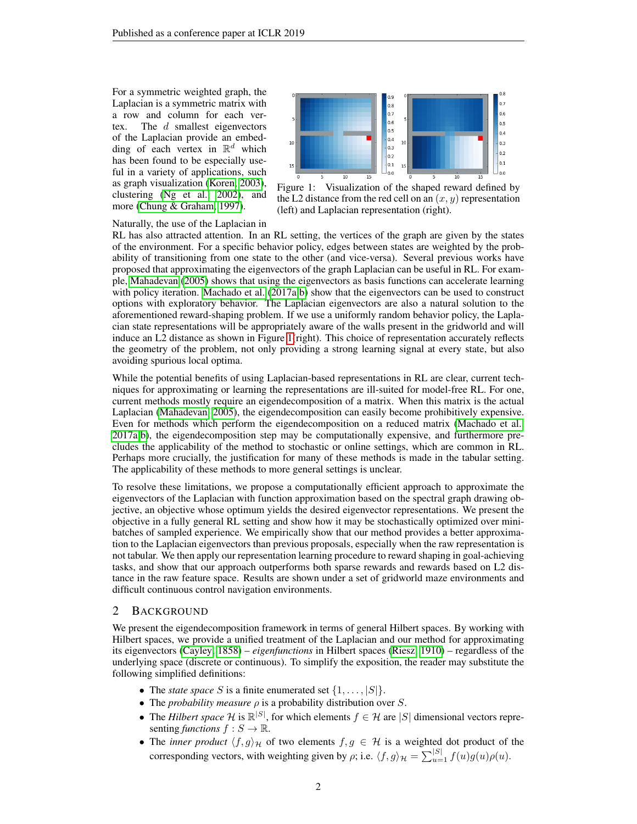For a symmetric weighted graph, the Laplacian is a symmetric matrix with a row and column for each vertex. The  $d$  smallest eigenvectors of the Laplacian provide an embedding of each vertex in  $\mathbb{R}^d$  which has been found to be especially useful in a variety of applications, such as graph visualization [\(Koren, 2003\)](#page-8-3), clustering [\(Ng et al., 2002\)](#page-9-5), and more [\(Chung & Graham, 1997\)](#page-8-4).



<span id="page-1-0"></span>Figure 1: Visualization of the shaped reward defined by the L2 distance from the red cell on an  $(x, y)$  representation (left) and Laplacian representation (right).

## Naturally, the use of the Laplacian in

RL has also attracted attention. In an RL setting, the vertices of the graph are given by the states of the environment. For a specific behavior policy, edges between states are weighted by the probability of transitioning from one state to the other (and vice-versa). Several previous works have proposed that approximating the eigenvectors of the graph Laplacian can be useful in RL. For example, [Mahadevan](#page-9-6) [\(2005\)](#page-9-6) shows that using the eigenvectors as basis functions can accelerate learning with policy iteration. [Machado et al.](#page-9-7) [\(2017a;](#page-9-7)[b\)](#page-9-8) show that the eigenvectors can be used to construct options with exploratory behavior. The Laplacian eigenvectors are also a natural solution to the aforementioned reward-shaping problem. If we use a uniformly random behavior policy, the Laplacian state representations will be appropriately aware of the walls present in the gridworld and will induce an L2 distance as shown in Figure [1\(](#page-1-0)right). This choice of representation accurately reflects the geometry of the problem, not only providing a strong learning signal at every state, but also avoiding spurious local optima.

While the potential benefits of using Laplacian-based representations in RL are clear, current techniques for approximating or learning the representations are ill-suited for model-free RL. For one, current methods mostly require an eigendecomposition of a matrix. When this matrix is the actual Laplacian [\(Mahadevan, 2005\)](#page-9-6), the eigendecomposition can easily become prohibitively expensive. Even for methods which perform the eigendecomposition on a reduced matrix [\(Machado et al.,](#page-9-7) [2017a](#page-9-7)[;b\)](#page-9-8), the eigendecomposition step may be computationally expensive, and furthermore precludes the applicability of the method to stochastic or online settings, which are common in RL. Perhaps more crucially, the justification for many of these methods is made in the tabular setting. The applicability of these methods to more general settings is unclear.

To resolve these limitations, we propose a computationally efficient approach to approximate the eigenvectors of the Laplacian with function approximation based on the spectral graph drawing objective, an objective whose optimum yields the desired eigenvector representations. We present the objective in a fully general RL setting and show how it may be stochastically optimized over minibatches of sampled experience. We empirically show that our method provides a better approximation to the Laplacian eigenvectors than previous proposals, especially when the raw representation is not tabular. We then apply our representation learning procedure to reward shaping in goal-achieving tasks, and show that our approach outperforms both sparse rewards and rewards based on L2 distance in the raw feature space. Results are shown under a set of gridworld maze environments and difficult continuous control navigation environments.

## 2 BACKGROUND

We present the eigendecomposition framework in terms of general Hilbert spaces. By working with Hilbert spaces, we provide a unified treatment of the Laplacian and our method for approximating its eigenvectors [\(Cayley, 1858\)](#page-8-5) – *eigenfunctions* in Hilbert spaces [\(Riesz, 1910\)](#page-9-9) – regardless of the underlying space (discrete or continuous). To simplify the exposition, the reader may substitute the following simplified definitions:

- The *state space* S is a finite enumerated set  $\{1, \ldots, |S|\}$ .
- The *probability measure* ρ is a probability distribution over S.
- The *Hilbert space*  $\mathcal{H}$  is  $\mathbb{R}^{|S|}$ , for which elements  $f \in \mathcal{H}$  are  $|S|$  dimensional vectors representing *functions*  $f : S \to \mathbb{R}$ .
- The *inner product*  $\langle f, g \rangle_{\mathcal{H}}$  of two elements  $f, g \in \mathcal{H}$  is a weighted dot product of the corresponding vectors, with weighting given by  $\rho$ ; i.e.  $\langle f, g \rangle_{\mathcal{H}} = \sum_{u=1}^{|S|} f(u)g(u)\rho(u)$ .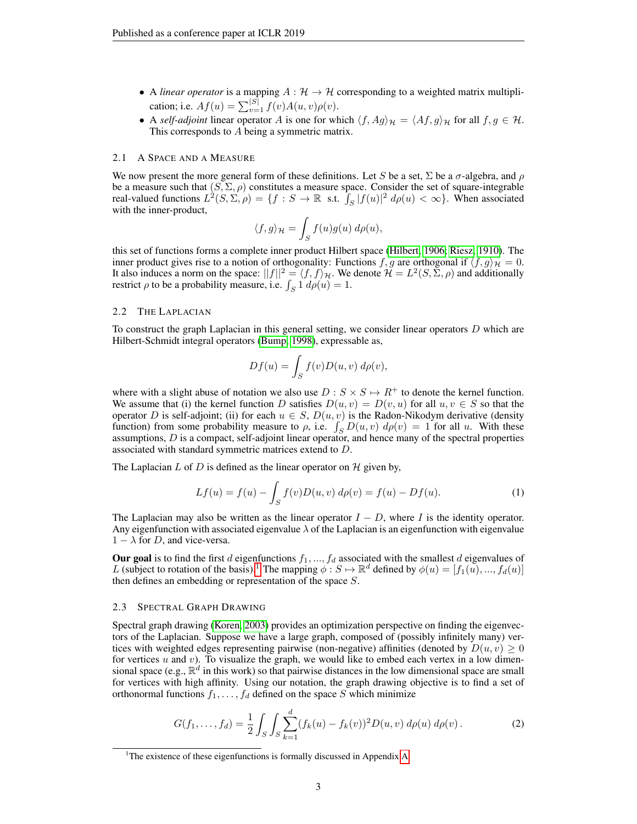- A *linear operator* is a mapping  $A : \mathcal{H} \to \mathcal{H}$  corresponding to a weighted matrix multiplication; i.e.  $Af(u) = \sum_{v=1}^{|S|} f(v)A(u, v)\rho(v)$ .
- A *self-adjoint* linear operator A is one for which  $\langle f, Ag \rangle_{\mathcal{H}} = \langle Af, g \rangle_{\mathcal{H}}$  for all  $f, g \in \mathcal{H}$ . This corresponds to A being a symmetric matrix.

#### 2.1 A SPACE AND A MEASURE

We now present the more general form of these definitions. Let S be a set,  $\Sigma$  be a  $\sigma$ -algebra, and  $\rho$ be a measure such that  $(S, \Sigma, \rho)$  constitutes a measure space. Consider the set of square-integrable real-valued functions  $L^2(S, \Sigma, \rho) = \{f : S \to \mathbb{R} \text{ s.t. } \int_S |f(u)|^2 d\rho(u) < \infty\}$ . When associated with the inner-product,

$$
\langle f, g \rangle_{\mathcal{H}} = \int_{S} f(u)g(u) \, d\rho(u),
$$

this set of functions forms a complete inner product Hilbert space [\(Hilbert, 1906;](#page-8-6) [Riesz, 1910\)](#page-9-9). The inner product gives rise to a notion of orthogonality: Functions f, g are orthogonal if  $\langle f, g \rangle_{\mathcal{H}} = 0$ . It also induces a norm on the space:  $||f||^2 = \langle f, f \rangle_{\mathcal{H}}$ . We denote  $\mathcal{H} = L^2(S, \Sigma, \rho)$  and additionally restrict  $\rho$  to be a probability measure, i.e.  $\int_S 1 d\rho(u) = 1$ .

## 2.2 THE LAPLACIAN

To construct the graph Laplacian in this general setting, we consider linear operators  $D$  which are Hilbert-Schmidt integral operators [\(Bump, 1998\)](#page-8-7), expressable as,

$$
Df(u) = \int_{S} f(v)D(u, v) d\rho(v),
$$

where with a slight abuse of notation we also use  $D : S \times S \mapsto R^+$  to denote the kernel function. We assume that (i) the kernel function D satisfies  $D(u, v) = D(v, u)$  for all  $u, v \in S$  so that the operator D is self-adjoint; (ii) for each  $u \in S$ ,  $D(u, v)$  is the Radon-Nikodym derivative (density function) from some probability measure to  $\rho$ , i.e.  $\int_{S} D(u, v) d\rho(v) = 1$  for all u. With these assumptions, D is a compact, self-adjoint linear operator, and hence many of the spectral properties associated with standard symmetric matrices extend to D.

The Laplacian L of D is defined as the linear operator on  $H$  given by,

$$
Lf(u) = f(u) - \int_{S} f(v)D(u, v) d\rho(v) = f(u) - Df(u).
$$
 (1)

The Laplacian may also be written as the linear operator  $I - D$ , where I is the identity operator. Any eigenfunction with associated eigenvalue  $\lambda$  of the Laplacian is an eigenfunction with eigenvalue  $1 - \lambda$  for D, and vice-versa.

Our goal is to find the first d eigenfunctions  $f_1, ..., f_d$  associated with the smallest d eigenvalues of L (subject to rotation of the basis).<sup>[1](#page-2-0)</sup> The mapping  $\phi: S \mapsto \mathbb{R}^d$  defined by  $\phi(u) = [f_1(u), ..., f_d(u)]$ then defines an embedding or representation of the space S.

#### 2.3 SPECTRAL GRAPH DRAWING

Spectral graph drawing [\(Koren, 2003\)](#page-8-3) provides an optimization perspective on finding the eigenvectors of the Laplacian. Suppose we have a large graph, composed of (possibly infinitely many) vertices with weighted edges representing pairwise (non-negative) affinities (denoted by  $D(u, v) \geq 0$ for vertices  $u$  and  $v$ ). To visualize the graph, we would like to embed each vertex in a low dimensional space (e.g.,  $\mathbb{R}^d$  in this work) so that pairwise distances in the low dimensional space are small for vertices with high affinity. Using our notation, the graph drawing objective is to find a set of orthonormal functions  $f_1, \ldots, f_d$  defined on the space S which minimize

<span id="page-2-1"></span>
$$
G(f_1, \ldots, f_d) = \frac{1}{2} \int_S \int_S \sum_{k=1}^d (f_k(u) - f_k(v))^2 D(u, v) d\rho(u) d\rho(v).
$$
 (2)

<span id="page-2-0"></span><sup>&</sup>lt;sup>1</sup>The existence of these eigenfunctions is formally discussed in Appendix [A.](#page-11-0)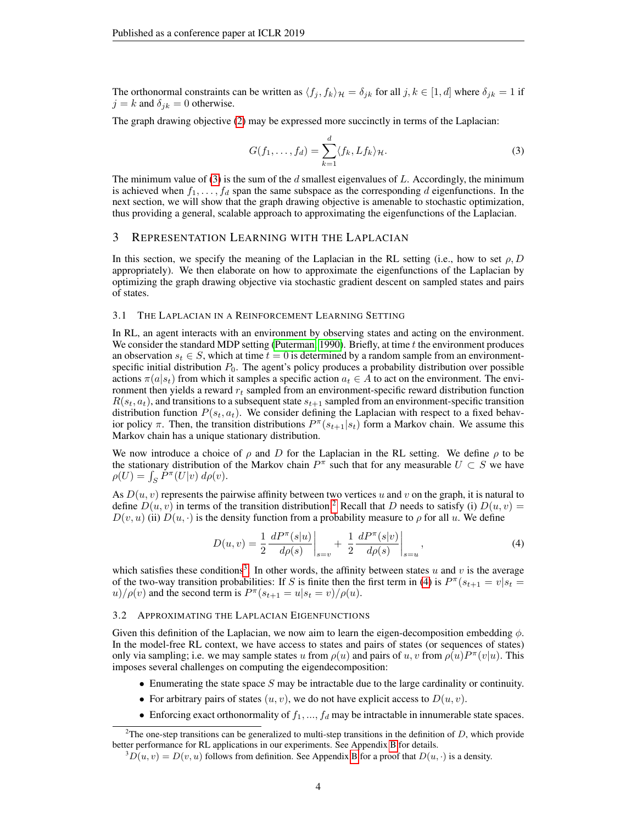The orthonormal constraints can be written as  $\langle f_i, f_k \rangle_{\mathcal{H}} = \delta_{ik}$  for all  $j, k \in [1, d]$  where  $\delta_{ik} = 1$  if  $j = k$  and  $\delta_{jk} = 0$  otherwise.

The graph drawing objective [\(2\)](#page-2-1) may be expressed more succinctly in terms of the Laplacian:

<span id="page-3-0"></span>
$$
G(f_1,\ldots,f_d) = \sum_{k=1}^d \langle f_k, Lf_k \rangle_{\mathcal{H}}.
$$
\n(3)

The minimum value of [\(3\)](#page-3-0) is the sum of the  $d$  smallest eigenvalues of  $L$ . Accordingly, the minimum is achieved when  $f_1, \ldots, f_d$  span the same subspace as the corresponding d eigenfunctions. In the next section, we will show that the graph drawing objective is amenable to stochastic optimization, thus providing a general, scalable approach to approximating the eigenfunctions of the Laplacian.

## 3 REPRESENTATION LEARNING WITH THE LAPLACIAN

In this section, we specify the meaning of the Laplacian in the RL setting (i.e., how to set  $\rho$ , D appropriately). We then elaborate on how to approximate the eigenfunctions of the Laplacian by optimizing the graph drawing objective via stochastic gradient descent on sampled states and pairs of states.

#### 3.1 THE LAPLACIAN IN A REINFORCEMENT LEARNING SETTING

In RL, an agent interacts with an environment by observing states and acting on the environment. We consider the standard MDP setting [\(Puterman, 1990\)](#page-9-10). Briefly, at time  $t$  the environment produces an observation  $s_t \in S$ , which at time  $t = 0$  is determined by a random sample from an environmentspecific initial distribution  $P_0$ . The agent's policy produces a probability distribution over possible actions  $\pi(a|s_t)$  from which it samples a specific action  $a_t \in A$  to act on the environment. The environment then yields a reward  $r_t$  sampled from an environment-specific reward distribution function  $R(s_t, a_t)$ , and transitions to a subsequent state  $s_{t+1}$  sampled from an environment-specific transition distribution function  $P(s_t, a_t)$ . We consider defining the Laplacian with respect to a fixed behavior policy  $\pi$ . Then, the transition distributions  $P^{\pi}(s_{t+1}|s_t)$  form a Markov chain. We assume this Markov chain has a unique stationary distribution.

We now introduce a choice of  $\rho$  and D for the Laplacian in the RL setting. We define  $\rho$  to be the stationary distribution of the Markov chain  $P^{\pi}$  such that for any measurable  $U \subset S$  we have  $\rho(U) = \int_S \dot{P}^\pi(U|v) \, d\rho(v).$ 

As  $D(u, v)$  represents the pairwise affinity between two vertices u and v on the graph, it is natural to define  $D(u, v)$  in terms of the transition distribution.<sup>[2](#page-3-1)</sup> Recall that D needs to satisfy (i)  $D(u, v)$  =  $D(v, u)$  (ii)  $D(u, \cdot)$  is the density function from a probability measure to  $\rho$  for all u. We define

<span id="page-3-3"></span>
$$
D(u,v) = \frac{1}{2} \frac{dP^{\pi}(s|u)}{d\rho(s)} \bigg|_{s=v} + \frac{1}{2} \frac{dP^{\pi}(s|v)}{d\rho(s)} \bigg|_{s=u}, \tag{4}
$$

which satisfies these conditions<sup>[3](#page-3-2)</sup>. In other words, the affinity between states u and v is the average of the two-way transition probabilities: If S is finite then the first term in [\(4\)](#page-3-3) is  $P^{\pi}(s_{t+1} = v | s_t =$  $u$ )/ $\rho(v)$  and the second term is  $P^{\pi}(s_{t+1} = u | s_t = v) / \rho(u)$ .

## 3.2 APPROXIMATING THE LAPLACIAN EIGENFUNCTIONS

Given this definition of the Laplacian, we now aim to learn the eigen-decomposition embedding  $\phi$ . In the model-free RL context, we have access to states and pairs of states (or sequences of states) only via sampling; i.e. we may sample states u from  $\rho(u)$  and pairs of u, v from  $\rho(u)P^{\pi}(v|u)$ . This imposes several challenges on computing the eigendecomposition:

- Enumerating the state space  $S$  may be intractable due to the large cardinality or continuity.
- For arbitrary pairs of states  $(u, v)$ , we do not have explicit access to  $D(u, v)$ .
- Enforcing exact orthonormality of  $f_1, ..., f_d$  may be intractable in innumerable state spaces.

<span id="page-3-1"></span><sup>&</sup>lt;sup>2</sup>The one-step transitions can be generalized to multi-step transitions in the definition of  $D$ , which provide better performance for RL applications in our experiments. See Appendix [B](#page-11-1) for details.

<span id="page-3-2"></span> ${}^{3}D(u, v) = D(v, u)$  follows from definition. See Appendix [B](#page-11-1) for a proof that  $D(u, \cdot)$  is a density.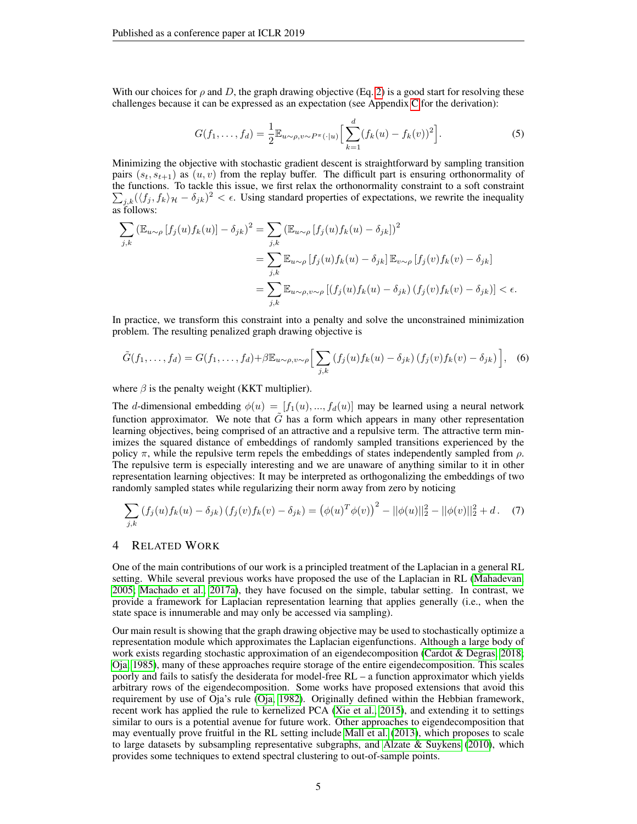With our choices for  $\rho$  and D, the graph drawing objective (Eq. [2\)](#page-2-1) is a good start for resolving these challenges because it can be expressed as an expectation (see Appendix [C](#page-13-0) for the derivation):

<span id="page-4-0"></span>
$$
G(f_1, ..., f_d) = \frac{1}{2} \mathbb{E}_{u \sim \rho, v \sim P^{\pi}(\cdot | u)} \Big[ \sum_{k=1}^d (f_k(u) - f_k(v))^2 \Big].
$$
 (5)

Minimizing the objective with stochastic gradient descent is straightforward by sampling transition pairs  $(s_t, s_{t+1})$  as  $(u, v)$  from the replay buffer. The difficult part is ensuring orthonormality of the functions. To tackle this issue, we first relax the orthonormality constraint to a soft constraint  $\sum_{j,k} (\langle f_j, f_k \rangle_{\mathcal{H}} - \delta_{jk})^2 < \epsilon$ . Using standard properties of expectations, we rewrite the inequality as follows:

$$
\sum_{j,k} (\mathbb{E}_{u \sim \rho} [f_j(u) f_k(u)] - \delta_{jk})^2 = \sum_{j,k} (\mathbb{E}_{u \sim \rho} [f_j(u) f_k(u) - \delta_{jk}])^2
$$
  
\n
$$
= \sum_{j,k} \mathbb{E}_{u \sim \rho} [f_j(u) f_k(u) - \delta_{jk}] \mathbb{E}_{v \sim \rho} [f_j(v) f_k(v) - \delta_{jk}]
$$
  
\n
$$
= \sum_{j,k} \mathbb{E}_{u \sim \rho, v \sim \rho} [(f_j(u) f_k(u) - \delta_{jk}) (f_j(v) f_k(v) - \delta_{jk})] < \epsilon.
$$

In practice, we transform this constraint into a penalty and solve the unconstrained minimization problem. The resulting penalized graph drawing objective is

<span id="page-4-1"></span>
$$
\tilde{G}(f_1,\ldots,f_d) = G(f_1,\ldots,f_d) + \beta \mathbb{E}_{u \sim \rho, v \sim \rho} \Big[ \sum_{j,k} \left( f_j(u) f_k(u) - \delta_{jk} \right) \left( f_j(v) f_k(v) - \delta_{jk} \right) \Big], \quad (6)
$$

where  $\beta$  is the penalty weight (KKT multiplier).

The d-dimensional embedding  $\phi(u) = [f_1(u),..., f_d(u)]$  may be learned using a neural network function approximator. We note that  $\tilde{G}$  has a form which appears in many other representation learning objectives, being comprised of an attractive and a repulsive term. The attractive term minimizes the squared distance of embeddings of randomly sampled transitions experienced by the policy  $\pi$ , while the repulsive term repels the embeddings of states independently sampled from  $\rho$ . The repulsive term is especially interesting and we are unaware of anything similar to it in other representation learning objectives: It may be interpreted as orthogonalizing the embeddings of two randomly sampled states while regularizing their norm away from zero by noticing

$$
\sum_{j,k} \left( f_j(u) f_k(u) - \delta_{jk} \right) \left( f_j(v) f_k(v) - \delta_{jk} \right) = \left( \phi(u)^T \phi(v) \right)^2 - ||\phi(u)||_2^2 - ||\phi(v)||_2^2 + d. \tag{7}
$$

## 4 RELATED WORK

One of the main contributions of our work is a principled treatment of the Laplacian in a general RL setting. While several previous works have proposed the use of the Laplacian in RL [\(Mahadevan,](#page-9-6) [2005;](#page-9-6) [Machado et al., 2017a\)](#page-9-7), they have focused on the simple, tabular setting. In contrast, we provide a framework for Laplacian representation learning that applies generally (i.e., when the state space is innumerable and may only be accessed via sampling).

Our main result is showing that the graph drawing objective may be used to stochastically optimize a representation module which approximates the Laplacian eigenfunctions. Although a large body of work exists regarding stochastic approximation of an eigendecomposition [\(Cardot & Degras, 2018;](#page-8-8) [Oja, 1985\)](#page-9-11), many of these approaches require storage of the entire eigendecomposition. This scales poorly and fails to satisfy the desiderata for model-free RL – a function approximator which yields arbitrary rows of the eigendecomposition. Some works have proposed extensions that avoid this requirement by use of Oja's rule [\(Oja, 1982\)](#page-9-12). Originally defined within the Hebbian framework, recent work has applied the rule to kernelized PCA [\(Xie et al., 2015\)](#page-10-0), and extending it to settings similar to ours is a potential avenue for future work. Other approaches to eigendecomposition that may eventually prove fruitful in the RL setting include [Mall et al.](#page-9-13) [\(2013\)](#page-9-13), which proposes to scale to large datasets by subsampling representative subgraphs, and Alzate  $\&$  Suykens [\(2010\)](#page-8-9), which provides some techniques to extend spectral clustering to out-of-sample points.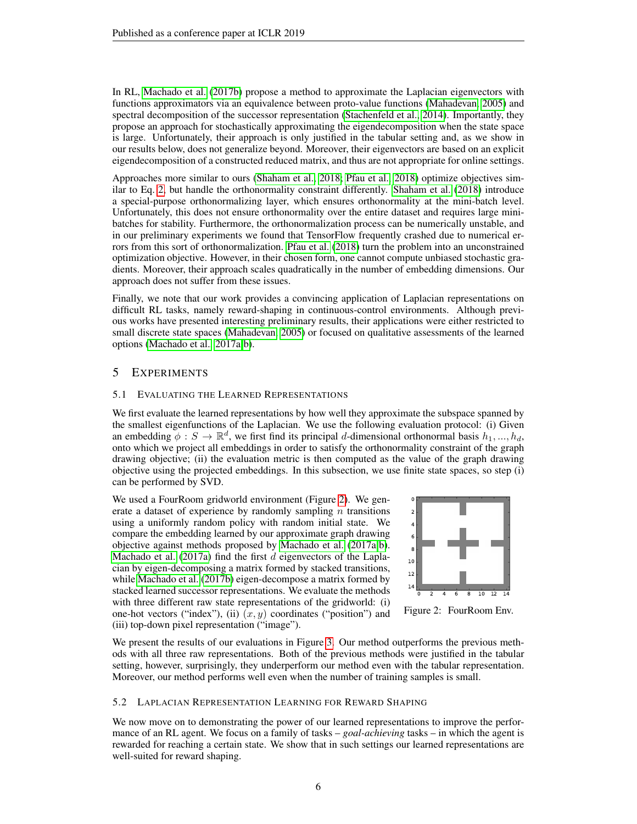In RL, [Machado et al.](#page-9-8) [\(2017b\)](#page-9-8) propose a method to approximate the Laplacian eigenvectors with functions approximators via an equivalence between proto-value functions [\(Mahadevan, 2005\)](#page-9-6) and spectral decomposition of the successor representation [\(Stachenfeld et al., 2014\)](#page-9-14). Importantly, they propose an approach for stochastically approximating the eigendecomposition when the state space is large. Unfortunately, their approach is only justified in the tabular setting and, as we show in our results below, does not generalize beyond. Moreover, their eigenvectors are based on an explicit eigendecomposition of a constructed reduced matrix, and thus are not appropriate for online settings.

Approaches more similar to ours [\(Shaham et al., 2018;](#page-9-15) [Pfau et al., 2018\)](#page-9-16) optimize objectives similar to Eq. [2,](#page-2-1) but handle the orthonormality constraint differently. [Shaham et al.](#page-9-15) [\(2018\)](#page-9-15) introduce a special-purpose orthonormalizing layer, which ensures orthonormality at the mini-batch level. Unfortunately, this does not ensure orthonormality over the entire dataset and requires large minibatches for stability. Furthermore, the orthonormalization process can be numerically unstable, and in our preliminary experiments we found that TensorFlow frequently crashed due to numerical errors from this sort of orthonormalization. [Pfau et al.](#page-9-16) [\(2018\)](#page-9-16) turn the problem into an unconstrained optimization objective. However, in their chosen form, one cannot compute unbiased stochastic gradients. Moreover, their approach scales quadratically in the number of embedding dimensions. Our approach does not suffer from these issues.

Finally, we note that our work provides a convincing application of Laplacian representations on difficult RL tasks, namely reward-shaping in continuous-control environments. Although previous works have presented interesting preliminary results, their applications were either restricted to small discrete state spaces [\(Mahadevan, 2005\)](#page-9-6) or focused on qualitative assessments of the learned options [\(Machado et al., 2017a](#page-9-7)[;b\)](#page-9-8).

# 5 EXPERIMENTS

## 5.1 EVALUATING THE LEARNED REPRESENTATIONS

We first evaluate the learned representations by how well they approximate the subspace spanned by the smallest eigenfunctions of the Laplacian. We use the following evaluation protocol: (i) Given an embedding  $\phi: S \to \mathbb{R}^d$ , we first find its principal d-dimensional orthonormal basis  $h_1, ..., h_d$ , onto which we project all embeddings in order to satisfy the orthonormality constraint of the graph drawing objective; (ii) the evaluation metric is then computed as the value of the graph drawing objective using the projected embeddings. In this subsection, we use finite state spaces, so step (i) can be performed by SVD.

We used a FourRoom gridworld environment (Figure [2\)](#page-5-0). We generate a dataset of experience by randomly sampling  $n$  transitions using a uniformly random policy with random initial state. We compare the embedding learned by our approximate graph drawing objective against methods proposed by [Machado et al.](#page-9-7) [\(2017a](#page-9-7)[;b\)](#page-9-8). [Machado et al.](#page-9-7)  $(2017a)$  find the first d eigenvectors of the Laplacian by eigen-decomposing a matrix formed by stacked transitions, while [Machado et al.](#page-9-8) [\(2017b\)](#page-9-8) eigen-decompose a matrix formed by stacked learned successor representations. We evaluate the methods with three different raw state representations of the gridworld: (i) one-hot vectors ("index"), (ii)  $(x, y)$  coordinates ("position") and (iii) top-down pixel representation ("image").



<span id="page-5-0"></span>Figure 2: FourRoom Env.

We present the results of our evaluations in Figure [3.](#page-6-0) Our method outperforms the previous methods with all three raw representations. Both of the previous methods were justified in the tabular setting, however, surprisingly, they underperform our method even with the tabular representation. Moreover, our method performs well even when the number of training samples is small.

#### 5.2 LAPLACIAN REPRESENTATION LEARNING FOR REWARD SHAPING

We now move on to demonstrating the power of our learned representations to improve the performance of an RL agent. We focus on a family of tasks – *goal-achieving* tasks – in which the agent is rewarded for reaching a certain state. We show that in such settings our learned representations are well-suited for reward shaping.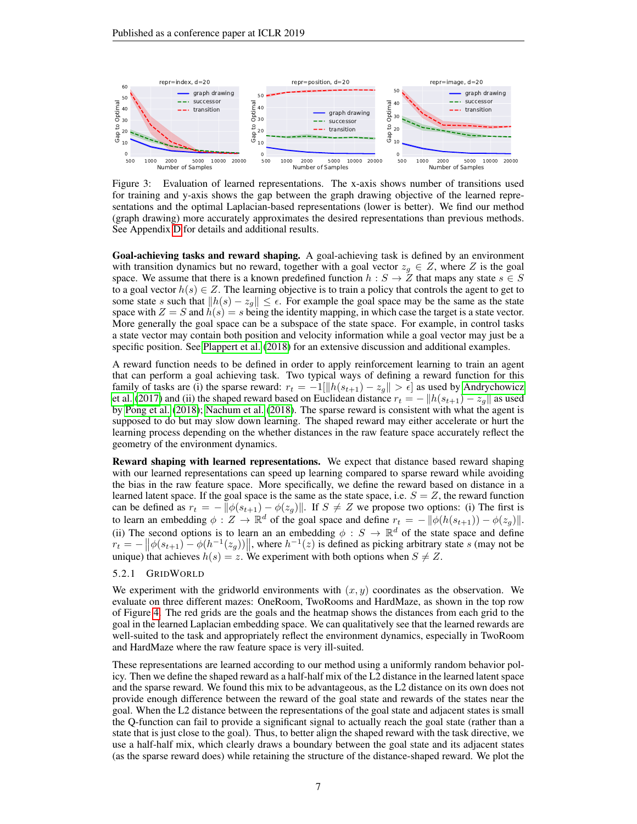

<span id="page-6-0"></span>Figure 3: Evaluation of learned representations. The x-axis shows number of transitions used for training and y-axis shows the gap between the graph drawing objective of the learned representations and the optimal Laplacian-based representations (lower is better). We find our method (graph drawing) more accurately approximates the desired representations than previous methods. See Appendix [D](#page-13-1) for details and additional results.

Goal-achieving tasks and reward shaping. A goal-achieving task is defined by an environment with transition dynamics but no reward, together with a goal vector  $z_g \in Z$ , where Z is the goal space. We assume that there is a known predefined function  $h : S \to Z$  that maps any state  $s \in S$ to a goal vector  $h(s) \in \mathbb{Z}$ . The learning objective is to train a policy that controls the agent to get to some state s such that  $||h(s) - z_g|| \leq \epsilon$ . For example the goal space may be the same as the state space with  $Z = S$  and  $h(s) = s$  being the identity mapping, in which case the target is a state vector. More generally the goal space can be a subspace of the state space. For example, in control tasks a state vector may contain both position and velocity information while a goal vector may just be a specific position. See [Plappert et al.](#page-9-17) [\(2018\)](#page-9-17) for an extensive discussion and additional examples.

A reward function needs to be defined in order to apply reinforcement learning to train an agent that can perform a goal achieving task. Two typical ways of defining a reward function for this family of tasks are (i) the sparse reward:  $r_t = -1 \left[ \frac{\|h(s_{t+1}) - z_g\|}{\|s\|} > \epsilon \right]$  as used by [Andrychowicz](#page-8-2) [et al.](#page-8-2) [\(2017\)](#page-8-2) and (ii) the shaped reward based on Euclidean distance  $r_t = -||h(s_{t+1}) - z_g||$  as used by [Pong et al.](#page-9-3) [\(2018\)](#page-9-3); [Nachum et al.](#page-9-4) [\(2018\)](#page-9-4). The sparse reward is consistent with what the agent is supposed to do but may slow down learning. The shaped reward may either accelerate or hurt the learning process depending on the whether distances in the raw feature space accurately reflect the geometry of the environment dynamics.

Reward shaping with learned representations. We expect that distance based reward shaping with our learned representations can speed up learning compared to sparse reward while avoiding the bias in the raw feature space. More specifically, we define the reward based on distance in a learned latent space. If the goal space is the same as the state space, i.e.  $S = Z$ , the reward function can be defined as  $r_t = - ||\phi(s_{t+1}) - \phi(z_g)||$ . If  $S \neq Z$  we propose two options: (i) The first is to learn an embedding  $\phi: Z \to \mathbb{R}^d$  of the goal space and define  $r_t = - ||\phi(h(s_{t+1})) - \phi(z_g)||$ . (ii) The second options is to learn an an embedding  $\phi : S \to \mathbb{R}^d$  of the state space and define  $r_t = -\left\|\phi(s_{t+1}) - \phi(h^{-1}(z_g))\right\|$ , where  $h^{-1}(z)$  is defined as picking arbitrary state s (may not be unique) that achieves  $h(s) = z$ . We experiment with both options when  $S \neq Z$ .

## 5.2.1 GRIDWORLD

We experiment with the gridworld environments with  $(x, y)$  coordinates as the observation. We evaluate on three different mazes: OneRoom, TwoRooms and HardMaze, as shown in the top row of Figure [4.](#page-7-0) The red grids are the goals and the heatmap shows the distances from each grid to the goal in the learned Laplacian embedding space. We can qualitatively see that the learned rewards are well-suited to the task and appropriately reflect the environment dynamics, especially in TwoRoom and HardMaze where the raw feature space is very ill-suited.

These representations are learned according to our method using a uniformly random behavior policy. Then we define the shaped reward as a half-half mix of the L2 distance in the learned latent space and the sparse reward. We found this mix to be advantageous, as the L2 distance on its own does not provide enough difference between the reward of the goal state and rewards of the states near the goal. When the L2 distance between the representations of the goal state and adjacent states is small the Q-function can fail to provide a significant signal to actually reach the goal state (rather than a state that is just close to the goal). Thus, to better align the shaped reward with the task directive, we use a half-half mix, which clearly draws a boundary between the goal state and its adjacent states (as the sparse reward does) while retaining the structure of the distance-shaped reward. We plot the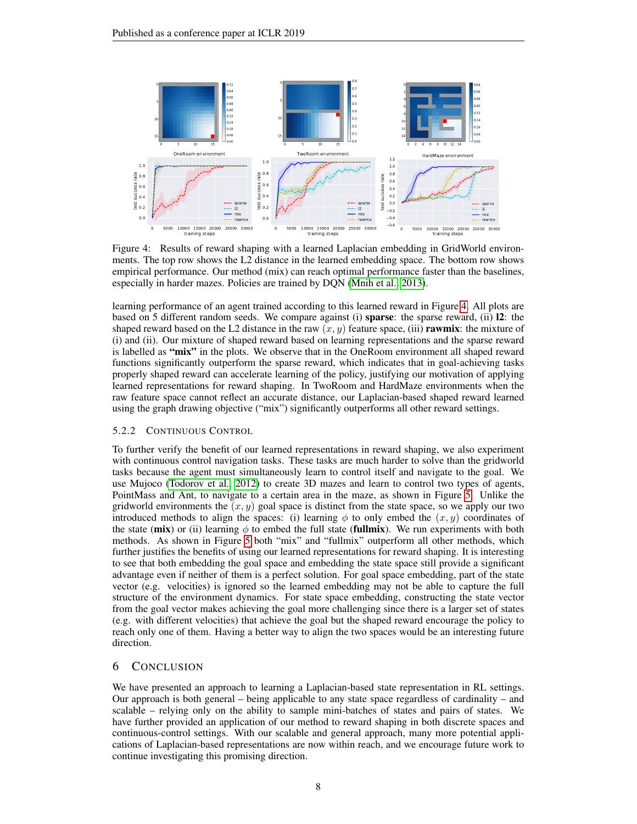

<span id="page-7-0"></span>Figure 4: Results of reward shaping with a learned Laplacian embedding in GridWorld environments. The top row shows the L2 distance in the learned embedding space. The bottom row shows empirical performance. Our method (mix) can reach optimal performance faster than the baselines, especially in harder mazes. Policies are trained by DQN [\(Mnih et al., 2013\)](#page-9-18).

learning performance of an agent trained according to this learned reward in Figure [4.](#page-7-0) All plots are based on 5 different random seeds. We compare against (i) sparse: the sparse reward, (ii) l2: the shaped reward based on the L2 distance in the raw  $(x, y)$  feature space, (iii) **rawmix**: the mixture of (i) and (ii). Our mixture of shaped reward based on learning representations and the sparse reward is labelled as "mix" in the plots. We observe that in the OneRoom environment all shaped reward functions significantly outperform the sparse reward, which indicates that in goal-achieving tasks properly shaped reward can accelerate learning of the policy, justifying our motivation of applying learned representations for reward shaping. In TwoRoom and HardMaze environments when the raw feature space cannot reflect an accurate distance, our Laplacian-based shaped reward learned using the graph drawing objective ("mix") significantly outperforms all other reward settings.

#### 5.2.2 CONTINUOUS CONTROL

To further verify the benefit of our learned representations in reward shaping, we also experiment with continuous control navigation tasks. These tasks are much harder to solve than the gridworld tasks because the agent must simultaneously learn to control itself and navigate to the goal. We use Mujoco [\(Todorov et al., 2012\)](#page-10-1) to create 3D mazes and learn to control two types of agents, PointMass and Ant, to navigate to a certain area in the maze, as shown in Figure [5.](#page-8-10) Unlike the gridworld environments the  $(x, y)$  goal space is distinct from the state space, so we apply our two introduced methods to align the spaces: (i) learning  $\phi$  to only embed the  $(x, y)$  coordinates of the state (mix) or (ii) learning  $\phi$  to embed the full state (fullmix). We run experiments with both methods. As shown in Figure [5](#page-8-10) both "mix" and "fullmix" outperform all other methods, which further justifies the benefits of using our learned representations for reward shaping. It is interesting to see that both embedding the goal space and embedding the state space still provide a significant advantage even if neither of them is a perfect solution. For goal space embedding, part of the state vector (e.g. velocities) is ignored so the learned embedding may not be able to capture the full structure of the environment dynamics. For state space embedding, constructing the state vector from the goal vector makes achieving the goal more challenging since there is a larger set of states (e.g. with different velocities) that achieve the goal but the shaped reward encourage the policy to reach only one of them. Having a better way to align the two spaces would be an interesting future direction.

## 6 CONCLUSION

We have presented an approach to learning a Laplacian-based state representation in RL settings. Our approach is both general – being applicable to any state space regardless of cardinality – and scalable – relying only on the ability to sample mini-batches of states and pairs of states. We have further provided an application of our method to reward shaping in both discrete spaces and continuous-control settings. With our scalable and general approach, many more potential applications of Laplacian-based representations are now within reach, and we encourage future work to continue investigating this promising direction.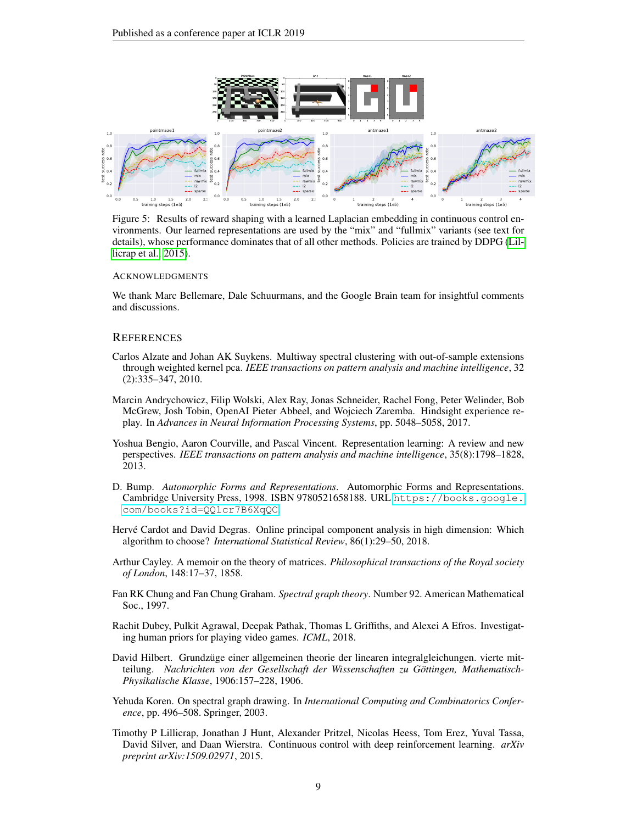

<span id="page-8-10"></span>Figure 5: Results of reward shaping with a learned Laplacian embedding in continuous control environments. Our learned representations are used by the "mix" and "fullmix" variants (see text for details), whose performance dominates that of all other methods. Policies are trained by DDPG [\(Lil](#page-8-11)[licrap et al., 2015\)](#page-8-11).

#### ACKNOWLEDGMENTS

We thank Marc Bellemare, Dale Schuurmans, and the Google Brain team for insightful comments and discussions.

#### **REFERENCES**

- <span id="page-8-9"></span>Carlos Alzate and Johan AK Suykens. Multiway spectral clustering with out-of-sample extensions through weighted kernel pca. *IEEE transactions on pattern analysis and machine intelligence*, 32 (2):335–347, 2010.
- <span id="page-8-2"></span>Marcin Andrychowicz, Filip Wolski, Alex Ray, Jonas Schneider, Rachel Fong, Peter Welinder, Bob McGrew, Josh Tobin, OpenAI Pieter Abbeel, and Wojciech Zaremba. Hindsight experience replay. In *Advances in Neural Information Processing Systems*, pp. 5048–5058, 2017.
- <span id="page-8-0"></span>Yoshua Bengio, Aaron Courville, and Pascal Vincent. Representation learning: A review and new perspectives. *IEEE transactions on pattern analysis and machine intelligence*, 35(8):1798–1828, 2013.
- <span id="page-8-7"></span>D. Bump. *Automorphic Forms and Representations*. Automorphic Forms and Representations. Cambridge University Press, 1998. ISBN 9780521658188. URL [https://books.google.](https://books.google.com/books?id=QQ1cr7B6XqQC) [com/books?id=QQ1cr7B6XqQC](https://books.google.com/books?id=QQ1cr7B6XqQC).
- <span id="page-8-8"></span>Hervé Cardot and David Degras. Online principal component analysis in high dimension: Which algorithm to choose? *International Statistical Review*, 86(1):29–50, 2018.
- <span id="page-8-5"></span>Arthur Cayley. A memoir on the theory of matrices. *Philosophical transactions of the Royal society of London*, 148:17–37, 1858.
- <span id="page-8-4"></span>Fan RK Chung and Fan Chung Graham. *Spectral graph theory*. Number 92. American Mathematical Soc., 1997.
- <span id="page-8-1"></span>Rachit Dubey, Pulkit Agrawal, Deepak Pathak, Thomas L Griffiths, and Alexei A Efros. Investigating human priors for playing video games. *ICML*, 2018.
- <span id="page-8-6"></span>David Hilbert. Grundzüge einer allgemeinen theorie der linearen integralgleichungen. vierte mitteilung. *Nachrichten von der Gesellschaft der Wissenschaften zu Gottingen, Mathematisch- ¨ Physikalische Klasse*, 1906:157–228, 1906.
- <span id="page-8-3"></span>Yehuda Koren. On spectral graph drawing. In *International Computing and Combinatorics Conference*, pp. 496–508. Springer, 2003.
- <span id="page-8-11"></span>Timothy P Lillicrap, Jonathan J Hunt, Alexander Pritzel, Nicolas Heess, Tom Erez, Yuval Tassa, David Silver, and Daan Wierstra. Continuous control with deep reinforcement learning. *arXiv preprint arXiv:1509.02971*, 2015.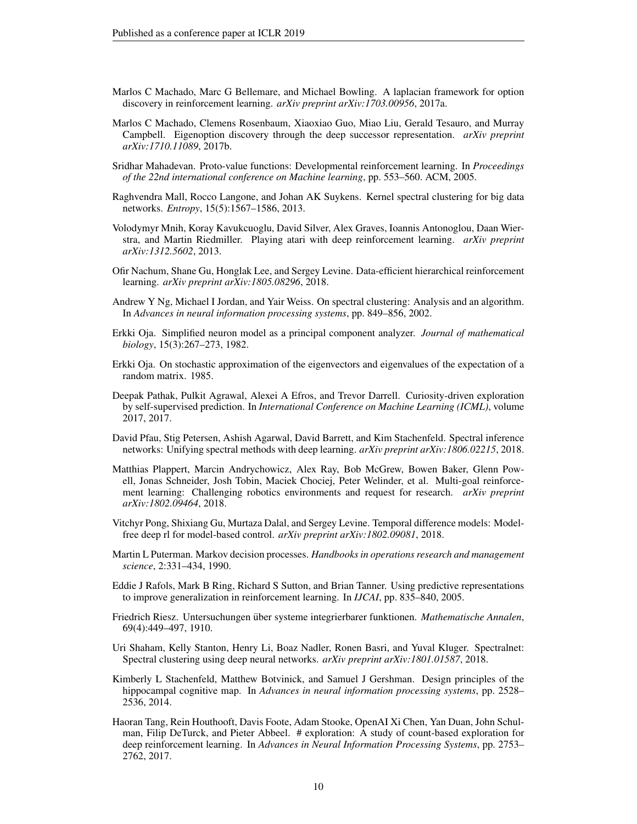- <span id="page-9-7"></span>Marlos C Machado, Marc G Bellemare, and Michael Bowling. A laplacian framework for option discovery in reinforcement learning. *arXiv preprint arXiv:1703.00956*, 2017a.
- <span id="page-9-8"></span>Marlos C Machado, Clemens Rosenbaum, Xiaoxiao Guo, Miao Liu, Gerald Tesauro, and Murray Campbell. Eigenoption discovery through the deep successor representation. *arXiv preprint arXiv:1710.11089*, 2017b.
- <span id="page-9-6"></span>Sridhar Mahadevan. Proto-value functions: Developmental reinforcement learning. In *Proceedings of the 22nd international conference on Machine learning*, pp. 553–560. ACM, 2005.
- <span id="page-9-13"></span>Raghvendra Mall, Rocco Langone, and Johan AK Suykens. Kernel spectral clustering for big data networks. *Entropy*, 15(5):1567–1586, 2013.
- <span id="page-9-18"></span>Volodymyr Mnih, Koray Kavukcuoglu, David Silver, Alex Graves, Ioannis Antonoglou, Daan Wierstra, and Martin Riedmiller. Playing atari with deep reinforcement learning. *arXiv preprint arXiv:1312.5602*, 2013.
- <span id="page-9-4"></span>Ofir Nachum, Shane Gu, Honglak Lee, and Sergey Levine. Data-efficient hierarchical reinforcement learning. *arXiv preprint arXiv:1805.08296*, 2018.
- <span id="page-9-5"></span>Andrew Y Ng, Michael I Jordan, and Yair Weiss. On spectral clustering: Analysis and an algorithm. In *Advances in neural information processing systems*, pp. 849–856, 2002.
- <span id="page-9-12"></span>Erkki Oja. Simplified neuron model as a principal component analyzer. *Journal of mathematical biology*, 15(3):267–273, 1982.
- <span id="page-9-11"></span>Erkki Oja. On stochastic approximation of the eigenvectors and eigenvalues of the expectation of a random matrix. 1985.
- <span id="page-9-2"></span>Deepak Pathak, Pulkit Agrawal, Alexei A Efros, and Trevor Darrell. Curiosity-driven exploration by self-supervised prediction. In *International Conference on Machine Learning (ICML)*, volume 2017, 2017.
- <span id="page-9-16"></span>David Pfau, Stig Petersen, Ashish Agarwal, David Barrett, and Kim Stachenfeld. Spectral inference networks: Unifying spectral methods with deep learning. *arXiv preprint arXiv:1806.02215*, 2018.
- <span id="page-9-17"></span>Matthias Plappert, Marcin Andrychowicz, Alex Ray, Bob McGrew, Bowen Baker, Glenn Powell, Jonas Schneider, Josh Tobin, Maciek Chociej, Peter Welinder, et al. Multi-goal reinforcement learning: Challenging robotics environments and request for research. *arXiv preprint arXiv:1802.09464*, 2018.
- <span id="page-9-3"></span>Vitchyr Pong, Shixiang Gu, Murtaza Dalal, and Sergey Levine. Temporal difference models: Modelfree deep rl for model-based control. *arXiv preprint arXiv:1802.09081*, 2018.
- <span id="page-9-10"></span>Martin L Puterman. Markov decision processes. *Handbooks in operations research and management science*, 2:331–434, 1990.
- <span id="page-9-0"></span>Eddie J Rafols, Mark B Ring, Richard S Sutton, and Brian Tanner. Using predictive representations to improve generalization in reinforcement learning. In *IJCAI*, pp. 835–840, 2005.
- <span id="page-9-9"></span>Friedrich Riesz. Untersuchungen über systeme integrierbarer funktionen. *Mathematische Annalen*, 69(4):449–497, 1910.
- <span id="page-9-15"></span>Uri Shaham, Kelly Stanton, Henry Li, Boaz Nadler, Ronen Basri, and Yuval Kluger. Spectralnet: Spectral clustering using deep neural networks. *arXiv preprint arXiv:1801.01587*, 2018.
- <span id="page-9-14"></span>Kimberly L Stachenfeld, Matthew Botvinick, and Samuel J Gershman. Design principles of the hippocampal cognitive map. In *Advances in neural information processing systems*, pp. 2528– 2536, 2014.
- <span id="page-9-1"></span>Haoran Tang, Rein Houthooft, Davis Foote, Adam Stooke, OpenAI Xi Chen, Yan Duan, John Schulman, Filip DeTurck, and Pieter Abbeel. # exploration: A study of count-based exploration for deep reinforcement learning. In *Advances in Neural Information Processing Systems*, pp. 2753– 2762, 2017.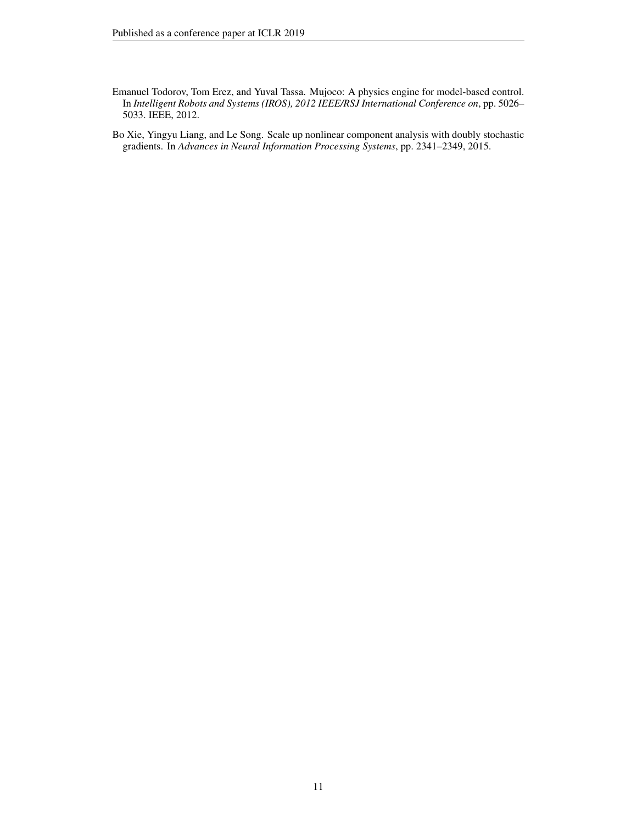- <span id="page-10-1"></span>Emanuel Todorov, Tom Erez, and Yuval Tassa. Mujoco: A physics engine for model-based control. In *Intelligent Robots and Systems (IROS), 2012 IEEE/RSJ International Conference on*, pp. 5026– 5033. IEEE, 2012.
- <span id="page-10-0"></span>Bo Xie, Yingyu Liang, and Le Song. Scale up nonlinear component analysis with doubly stochastic gradients. In *Advances in Neural Information Processing Systems*, pp. 2341–2349, 2015.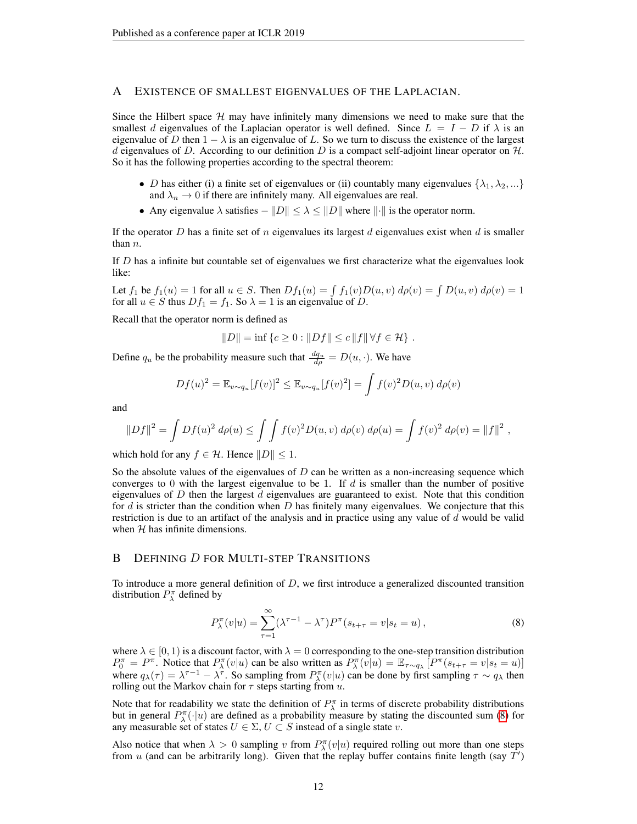## <span id="page-11-0"></span>A EXISTENCE OF SMALLEST EIGENVALUES OF THE LAPLACIAN.

Since the Hilbert space  $H$  may have infinitely many dimensions we need to make sure that the smallest d eigenvalues of the Laplacian operator is well defined. Since  $L = I - D$  if  $\lambda$  is an eigenvalue of D then  $1 - \lambda$  is an eigenvalue of L. So we turn to discuss the existence of the largest d eigenvalues of D. According to our definition D is a compact self-adjoint linear operator on  $H$ . So it has the following properties according to the spectral theorem:

- D has either (i) a finite set of eigenvalues or (ii) countably many eigenvalues  $\{\lambda_1, \lambda_2, ...\}$ and  $\lambda_n \to 0$  if there are infinitely many. All eigenvalues are real.
- Any eigenvalue  $\lambda$  satisfies  $-||D|| \leq \lambda \leq ||D||$  where  $||\cdot||$  is the operator norm.

If the operator D has a finite set of n eigenvalues its largest d eigenvalues exist when d is smaller than  $n$ .

If  $D$  has a infinite but countable set of eigenvalues we first characterize what the eigenvalues look like:

Let  $f_1$  be  $f_1(u) = 1$  for all  $u \in S$ . Then  $Df_1(u) = \int f_1(v)D(u, v) d\rho(v) = \int D(u, v) d\rho(v) = 1$ for all  $u \in S$  thus  $Df_1 = f_1$ . So  $\lambda = 1$  is an eigenvalue of D.

Recall that the operator norm is defined as

$$
||D|| = inf {c \ge 0 : ||Df|| \le c ||f|| \forall f \in \mathcal{H}}
$$
.

Define  $q_u$  be the probability measure such that  $\frac{dq_u}{d\rho} = D(u, \cdot)$ . We have

$$
Df(u)^{2} = \mathbb{E}_{v \sim q_{u}}[f(v)]^{2} \leq \mathbb{E}_{v \sim q_{u}}[f(v)^{2}] = \int f(v)^{2} D(u, v) d\rho(v)
$$

and

$$
||Df||2 = \int Df(u)2 d\rho(u) \le \int \int f(v)2 D(u, v) d\rho(v) d\rho(u) = \int f(v)2 d\rho(v) = ||f||2,
$$

which hold for any  $f \in \mathcal{H}$ . Hence  $||D|| \leq 1$ .

So the absolute values of the eigenvalues of  $D$  can be written as a non-increasing sequence which converges to 0 with the largest eigenvalue to be 1. If  $d$  is smaller than the number of positive eigenvalues of  $D$  then the largest  $d$  eigenvalues are guaranteed to exist. Note that this condition for  $d$  is stricter than the condition when  $D$  has finitely many eigenvalues. We conjecture that this restriction is due to an artifact of the analysis and in practice using any value of  $d$  would be valid when  $H$  has infinite dimensions.

## <span id="page-11-1"></span>B DEFINING D FOR MULTI-STEP TRANSITIONS

To introduce a more general definition of  $D$ , we first introduce a generalized discounted transition distribution  $P_{\lambda}^{\pi}$  defined by

<span id="page-11-2"></span>
$$
P_{\lambda}^{\pi}(v|u) = \sum_{\tau=1}^{\infty} (\lambda^{\tau-1} - \lambda^{\tau}) P^{\pi}(s_{t+\tau} = v|s_t = u), \qquad (8)
$$

where  $\lambda \in [0, 1)$  is a discount factor, with  $\lambda = 0$  corresponding to the one-step transition distribution  $P_0^{\pi} = P^{\pi}$ . Notice that  $P_{\lambda}^{\pi}(v|u)$  can be also written as  $P_{\lambda}^{\pi}(v|u) = \mathbb{E}_{\tau \sim q_{\lambda}} [P^{\pi}(s_{t+\tau} = v|s_t = u)]$ where  $q_{\lambda}(\tau) = \lambda^{\tau-1} - \lambda^{\tau}$ . So sampling from  $P_{\lambda}^{\pi}(v|u)$  can be done by first sampling  $\tau \sim q_{\lambda}$  then rolling out the Markov chain for  $\tau$  steps starting from u.

Note that for readability we state the definition of  $P_{\lambda}^{\pi}$  in terms of discrete probability distributions but in general  $P_{\lambda}^{\pi}(\cdot|u)$  are defined as a probability measure by stating the discounted sum [\(8\)](#page-11-2) for any measurable set of states  $U \in \Sigma$ ,  $U \subset S$  instead of a single state v.

Also notice that when  $\lambda > 0$  sampling v from  $P_{\lambda}^{\pi}(v|u)$  required rolling out more than one steps from u (and can be arbitrarily long). Given that the replay buffer contains finite length (say  $\hat{T}'$ )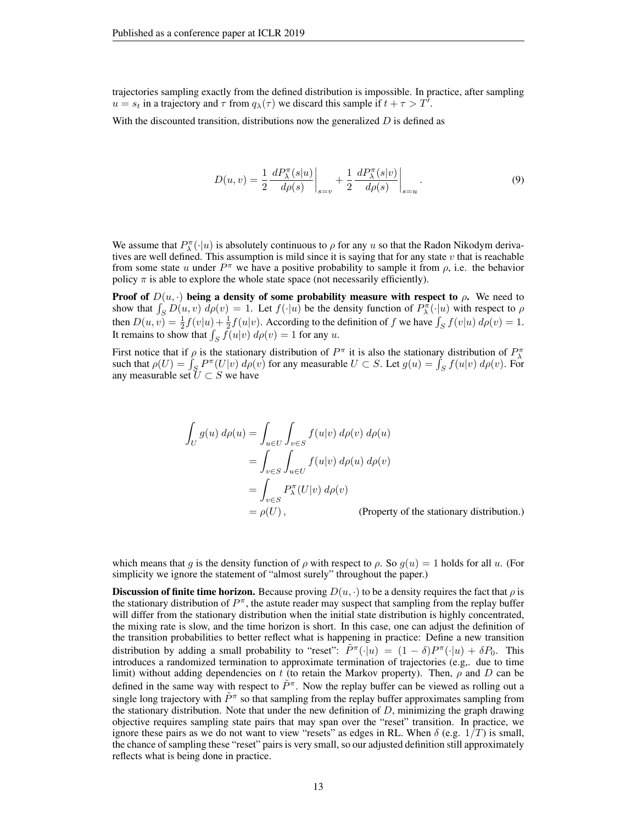trajectories sampling exactly from the defined distribution is impossible. In practice, after sampling  $u = s_t$  in a trajectory and  $\tau$  from  $q_{\lambda}(\tau)$  we discard this sample if  $t + \tau > T^{\tilde{\jmath}}$ .

With the discounted transition, distributions now the generalized  $D$  is defined as

<span id="page-12-0"></span>
$$
D(u, v) = \frac{1}{2} \frac{dP_{\lambda}^{\pi}(s|u)}{d\rho(s)} \bigg|_{s=v} + \frac{1}{2} \frac{dP_{\lambda}^{\pi}(s|v)}{d\rho(s)} \bigg|_{s=u}.
$$
 (9)

We assume that  $P_{\lambda}^{\pi}(\cdot|u)$  is absolutely continuous to  $\rho$  for any u so that the Radon Nikodym derivatives are well defined. This assumption is mild since it is saying that for any state  $v$  that is reachable from some state u under  $P^{\pi}$  we have a positive probability to sample it from  $\rho$ , i.e. the behavior policy  $\pi$  is able to explore the whole state space (not necessarily efficiently).

Proof of  $D(u, \cdot)$  being a density of some probability measure with respect to  $\rho$ . We need to show that  $\int_S D(u, v) d\rho(v) = 1$ . Let  $f(\cdot | u)$  be the density function of  $P_{\lambda}^{\pi}(\cdot | u)$  with respect to  $\rho$ then  $D(u, v) = \frac{1}{2} f(v|u) + \frac{1}{2} f(u|v)$ . According to the definition of f we have  $\int_S f(v|u) d\rho(v) = 1$ . It remains to show that  $\int_S f(u|v) d\rho(v) = 1$  for any u.

First notice that if  $\rho$  is the stationary distribution of  $P^{\pi}$  it is also the stationary distribution of  $P^{\pi}_{\lambda}$ such that  $\rho(U) = \int_S P^{\pi}(U|v) d\rho(v)$  for any measurable  $U \subset S$ . Let  $g(u) = \int_S f(u|v) d\rho(v)$ . For any measurable set  $U \subset S$  we have

$$
\int_{U} g(u) d\rho(u) = \int_{u \in U} \int_{v \in S} f(u|v) d\rho(v) d\rho(u)
$$
\n
$$
= \int_{v \in S} \int_{u \in U} f(u|v) d\rho(u) d\rho(v)
$$
\n
$$
= \int_{v \in S} P_{\lambda}^{\pi}(U|v) d\rho(v)
$$
\n
$$
= \rho(U), \qquad \text{(Property of the stationary distribution.)}
$$

which means that g is the density function of  $\rho$  with respect to  $\rho$ . So  $g(u) = 1$  holds for all u. (For simplicity we ignore the statement of "almost surely" throughout the paper.)

**Discussion of finite time horizon.** Because proving  $D(u, \cdot)$  to be a density requires the fact that  $\rho$  is the stationary distribution of  $P^{\pi}$ , the astute reader may suspect that sampling from the replay buffer will differ from the stationary distribution when the initial state distribution is highly concentrated, the mixing rate is slow, and the time horizon is short. In this case, one can adjust the definition of the transition probabilities to better reflect what is happening in practice: Define a new transition distribution by adding a small probability to "reset":  $\tilde{P}^{\pi}(\cdot|u) = (1 - \delta)P^{\pi}(\cdot|u) + \delta P_0$ . This introduces a randomized termination to approximate termination of trajectories (e.g,. due to time limit) without adding dependencies on t (to retain the Markov property). Then,  $\rho$  and D can be defined in the same way with respect to  $\tilde{P}^{\pi}$ . Now the replay buffer can be viewed as rolling out a single long trajectory with  $\tilde{P}^{\pi}$  so that sampling from the replay buffer approximates sampling from the stationary distribution. Note that under the new definition of  $D$ , minimizing the graph drawing objective requires sampling state pairs that may span over the "reset" transition. In practice, we ignore these pairs as we do not want to view "resets" as edges in RL. When  $\delta$  (e.g.  $1/T$ ) is small, the chance of sampling these "reset" pairs is very small, so our adjusted definition still approximately reflects what is being done in practice.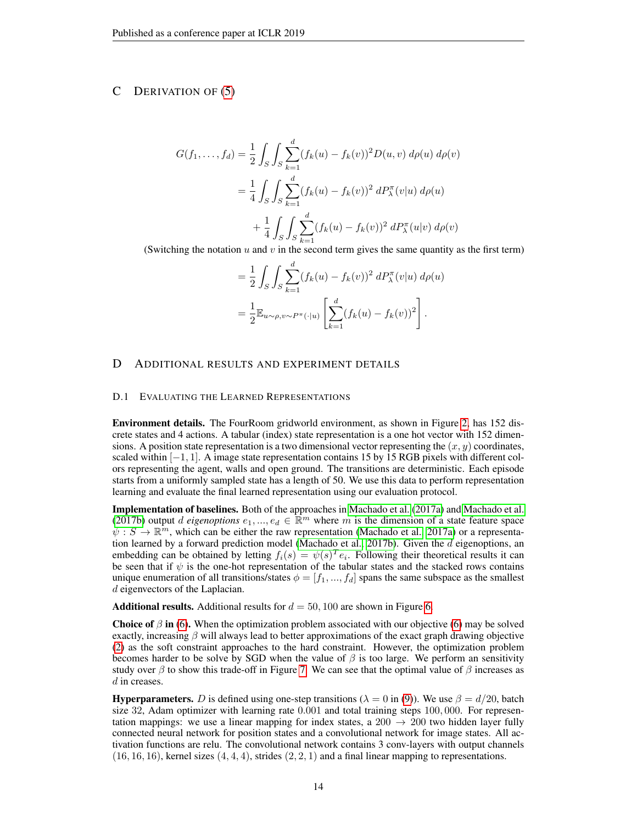# <span id="page-13-0"></span>C DERIVATION OF [\(5\)](#page-4-0)

$$
G(f_1, ..., f_d) = \frac{1}{2} \int_S \int_S \sum_{k=1}^d (f_k(u) - f_k(v))^2 D(u, v) d\rho(u) d\rho(v)
$$
  
= 
$$
\frac{1}{4} \int_S \int_S \sum_{k=1}^d (f_k(u) - f_k(v))^2 dP_\lambda^{\pi}(v|u) d\rho(u)
$$
  
+ 
$$
\frac{1}{4} \int_S \int_S \sum_{k=1}^d (f_k(u) - f_k(v))^2 dP_\lambda^{\pi}(u|v) d\rho(v)
$$

(Switching the notation  $u$  and  $v$  in the second term gives the same quantity as the first term)

$$
= \frac{1}{2} \int_{S} \int_{S} \sum_{k=1}^{d} (f_k(u) - f_k(v))^2 \, dP_{\lambda}^{\pi}(v|u) \, d\rho(u)
$$

$$
= \frac{1}{2} \mathbb{E}_{u \sim \rho, v \sim P^{\pi}(\cdot|u)} \left[ \sum_{k=1}^{d} (f_k(u) - f_k(v))^2 \right].
$$

## <span id="page-13-1"></span>D ADDITIONAL RESULTS AND EXPERIMENT DETAILS

## D.1 EVALUATING THE LEARNED REPRESENTATIONS

Environment details. The FourRoom gridworld environment, as shown in Figure [2,](#page-5-0) has 152 discrete states and 4 actions. A tabular (index) state representation is a one hot vector with 152 dimensions. A position state representation is a two dimensional vector representing the  $(x, y)$  coordinates, scaled within  $[-1, 1]$ . A image state representation contains 15 by 15 RGB pixels with different colors representing the agent, walls and open ground. The transitions are deterministic. Each episode starts from a uniformly sampled state has a length of 50. We use this data to perform representation learning and evaluate the final learned representation using our evaluation protocol.

Implementation of baselines. Both of the approaches in [Machado et al.](#page-9-7) [\(2017a\)](#page-9-7) and [Machado et al.](#page-9-8) [\(2017b\)](#page-9-8) output *d* eigenoptions  $e_1, ..., e_d \in \mathbb{R}^m$  where m is the dimension of a state feature space  $\psi : S \to \mathbb{R}^m$ , which can be either the raw representation [\(Machado et al., 2017a\)](#page-9-7) or a representa-tion learned by a forward prediction model [\(Machado et al., 2017b\)](#page-9-8). Given the  $d$  eigenoptions, an embedding can be obtained by letting  $f_i(s) = \psi(s)^T e_i$ . Following their theoretical results it can be seen that if  $\psi$  is the one-hot representation of the tabular states and the stacked rows contains unique enumeration of all transitions/states  $\phi = [f_1, ..., f_d]$  spans the same subspace as the smallest d eigenvectors of the Laplacian.

**Additional results.** Additional results for  $d = 50, 100$  are shown in Figure [6.](#page-14-0)

**Choice of**  $\beta$  **in [\(6\)](#page-4-1).** When the optimization problem associated with our objective (6) may be solved exactly, increasing  $\beta$  will always lead to better approximations of the exact graph drawing objective [\(2\)](#page-2-1) as the soft constraint approaches to the hard constraint. However, the optimization problem becomes harder to be solve by SGD when the value of  $\beta$  is too large. We perform an sensitivity study over  $\beta$  to show this trade-off in Figure [7.](#page-14-1) We can see that the optimal value of  $\beta$  increases as d in creases.

**Hyperparameters.** D is defined using one-step transitions ( $\lambda = 0$  in [\(9\)](#page-12-0)). We use  $\beta = d/20$ , batch size 32, Adam optimizer with learning rate 0.001 and total training steps 100, 000. For representation mappings: we use a linear mapping for index states, a  $200 \rightarrow 200$  two hidden layer fully connected neural network for position states and a convolutional network for image states. All activation functions are relu. The convolutional network contains 3 conv-layers with output channels  $(16, 16, 16)$ , kernel sizes  $(4, 4, 4)$ , strides  $(2, 2, 1)$  and a final linear mapping to representations.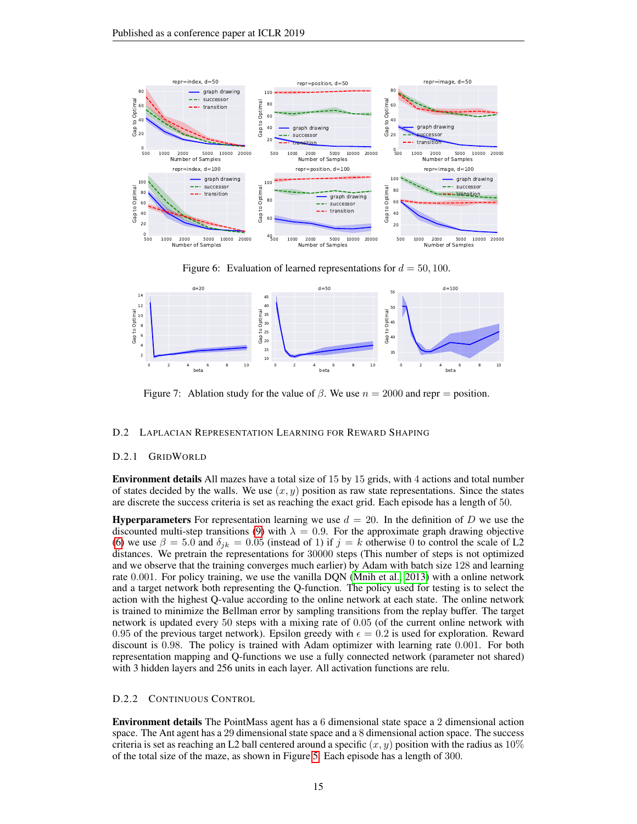

<span id="page-14-0"></span>Figure 6: Evaluation of learned representations for  $d = 50, 100$ .



<span id="page-14-1"></span>Figure 7: Ablation study for the value of  $\beta$ . We use  $n = 2000$  and repr = position.

#### D.2 LAPLACIAN REPRESENTATION LEARNING FOR REWARD SHAPING

#### D.2.1 GRIDWORLD

Environment details All mazes have a total size of 15 by 15 grids, with 4 actions and total number of states decided by the walls. We use  $(x, y)$  position as raw state representations. Since the states are discrete the success criteria is set as reaching the exact grid. Each episode has a length of 50.

**Hyperparameters** For representation learning we use  $d = 20$ . In the definition of D we use the discounted multi-step transitions [\(9\)](#page-12-0) with  $\lambda = 0.9$ . For the approximate graph drawing objective [\(6\)](#page-4-1) we use  $\beta = 5.0$  and  $\delta_{ik} = 0.05$  (instead of 1) if  $j = k$  otherwise 0 to control the scale of L2 distances. We pretrain the representations for 30000 steps (This number of steps is not optimized and we observe that the training converges much earlier) by Adam with batch size 128 and learning rate 0.001. For policy training, we use the vanilla DQN [\(Mnih et al., 2013\)](#page-9-18) with a online network and a target network both representing the Q-function. The policy used for testing is to select the action with the highest Q-value according to the online network at each state. The online network is trained to minimize the Bellman error by sampling transitions from the replay buffer. The target network is updated every 50 steps with a mixing rate of 0.05 (of the current online network with 0.95 of the previous target network). Epsilon greedy with  $\epsilon = 0.2$  is used for exploration. Reward discount is 0.98. The policy is trained with Adam optimizer with learning rate 0.001. For both representation mapping and Q-functions we use a fully connected network (parameter not shared) with 3 hidden layers and 256 units in each layer. All activation functions are relu.

#### D.2.2 CONTINUOUS CONTROL

Environment details The PointMass agent has a 6 dimensional state space a 2 dimensional action space. The Ant agent has a 29 dimensional state space and a 8 dimensional action space. The success criteria is set as reaching an L2 ball centered around a specific  $(x, y)$  position with the radius as 10% of the total size of the maze, as shown in Figure [5.](#page-8-10) Each episode has a length of 300.